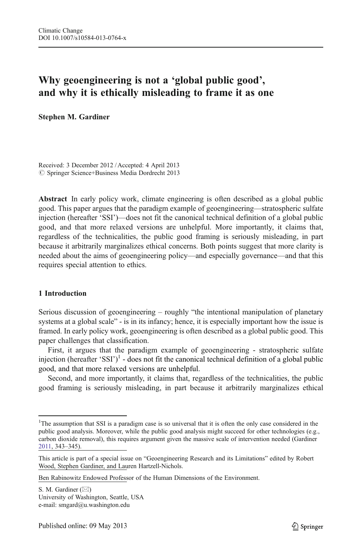# Why geoengineering is not a 'global public good', and why it is ethically misleading to frame it as one

Stephen M. Gardiner

Received: 3 December 2012 / Accepted: 4 April 2013  $© Springer Science+Business Media Dordrecht 2013$ 

Abstract In early policy work, climate engineering is often described as a global public good. This paper argues that the paradigm example of geoengineering—stratospheric sulfate injection (hereafter 'SSI')—does not fit the canonical technical definition of a global public good, and that more relaxed versions are unhelpful. More importantly, it claims that, regardless of the technicalities, the public good framing is seriously misleading, in part because it arbitrarily marginalizes ethical concerns. Both points suggest that more clarity is needed about the aims of geoengineering policy—and especially governance—and that this requires special attention to ethics.

# 1 Introduction

Serious discussion of geoengineering – roughly "the intentional manipulation of planetary systems at a global scale" - is in its infancy; hence, it is especially important how the issue is framed. In early policy work, geoengineering is often described as a global public good. This paper challenges that classification.

First, it argues that the paradigm example of geoengineering - stratospheric sulfate injection (hereafter 'SSI')<sup>1</sup> - does not fit the canonical technical definition of a global public good, and that more relaxed versions are unhelpful.

Second, and more importantly, it claims that, regardless of the technicalities, the public good framing is seriously misleading, in part because it arbitrarily marginalizes ethical

<sup>&</sup>lt;sup>1</sup>The assumption that SSI is a paradigm case is so universal that it is often the only case considered in the public good analysis. Moreover, while the public good analysis might succeed for other technologies (e.g., carbon dioxide removal), this requires argument given the massive scale of intervention needed (Gardiner [2011](#page-12-0), 343–345).

This article is part of a special issue on "Geoengineering Research and its Limitations" edited by Robert Wood, Stephen Gardiner, and Lauren Hartzell-Nichols.

Ben Rabinowitz Endowed Professor of the Human Dimensions of the Environment.

S. M. Gardiner  $(\boxtimes)$ University of Washington, Seattle, USA e-mail: smgard@u.washington.edu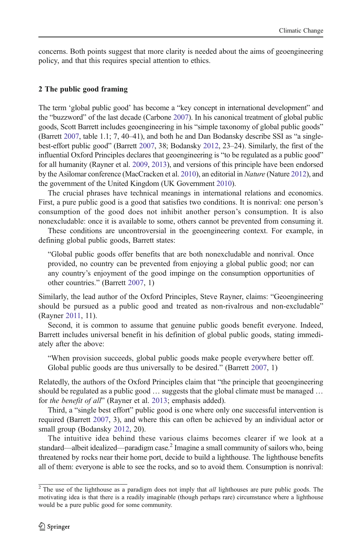concerns. Both points suggest that more clarity is needed about the aims of geoengineering policy, and that this requires special attention to ethics.

### 2 The public good framing

The term 'global public good' has become a "key concept in international development" and the "buzzword" of the last decade (Carbone [2007\)](#page-12-0). In his canonical treatment of global public goods, Scott Barrett includes geoengineering in his "simple taxonomy of global public goods" (Barrett [2007,](#page-12-0) table 1.1; 7, 40–41), and both he and Dan Bodansky describe SSI as "a singlebest-effort public good" (Barrett [2007,](#page-12-0) 38; Bodansky [2012](#page-12-0), 23–24). Similarly, the first of the influential Oxford Principles declares that geoengineering is "to be regulated as a public good" for all humanity (Rayner et al. [2009](#page-12-0), [2013\)](#page-12-0), and versions of this principle have been endorsed by the Asilomar conference (MacCracken et al. [2010](#page-12-0)), an editorial in Nature (Nature [2012](#page-12-0)), and the government of the United Kingdom (UK Government [2010](#page-12-0)).

The crucial phrases have technical meanings in international relations and economics. First, a pure public good is a good that satisfies two conditions. It is nonrival: one person's consumption of the good does not inhibit another person's consumption. It is also nonexcludable: once it is available to some, others cannot be prevented from consuming it.

These conditions are uncontroversial in the geoengineering context. For example, in defining global public goods, Barrett states:

"Global public goods offer benefits that are both nonexcludable and nonrival. Once provided, no country can be prevented from enjoying a global public good; nor can any country's enjoyment of the good impinge on the consumption opportunities of other countries." (Barrett [2007](#page-12-0), 1)

Similarly, the lead author of the Oxford Principles, Steve Rayner, claims: "Geoengineering should be pursued as a public good and treated as non-rivalrous and non-excludable" (Rayner [2011](#page-12-0), 11).

Second, it is common to assume that genuine public goods benefit everyone. Indeed, Barrett includes universal benefit in his definition of global public goods, stating immediately after the above:

"When provision succeeds, global public goods make people everywhere better off. Global public goods are thus universally to be desired." (Barrett [2007](#page-12-0), 1)

Relatedly, the authors of the Oxford Principles claim that "the principle that geoengineering should be regulated as a public good … suggests that the global climate must be managed … for the benefit of all" (Rayner et al. [2013](#page-12-0); emphasis added).

Third, a "single best effort" public good is one where only one successful intervention is required (Barrett [2007,](#page-12-0) 3), and where this can often be achieved by an individual actor or small group (Bodansky [2012](#page-12-0), 20).

The intuitive idea behind these various claims becomes clearer if we look at a standard—albeit idealized—paradigm case.<sup>2</sup> Imagine a small community of sailors who, being threatened by rocks near their home port, decide to build a lighthouse. The lighthouse benefits all of them: everyone is able to see the rocks, and so to avoid them. Consumption is nonrival:

 $2$  The use of the lighthouse as a paradigm does not imply that *all* lighthouses are pure public goods. The motivating idea is that there is a readily imaginable (though perhaps rare) circumstance where a lighthouse would be a pure public good for some community.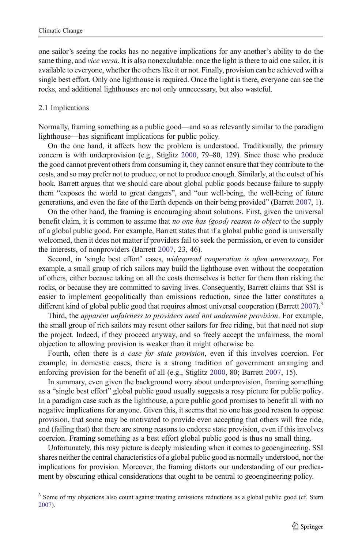one sailor's seeing the rocks has no negative implications for any another's ability to do the same thing, and *vice versa*. It is also nonexcludable: once the light is there to aid one sailor, it is available to everyone, whether the others like it or not. Finally, provision can be achieved with a single best effort. Only one lighthouse is required. Once the light is there, everyone can see the rocks, and additional lighthouses are not only unnecessary, but also wasteful.

#### 2.1 Implications

Normally, framing something as a public good—and so as relevantly similar to the paradigm lighthouse—has significant implications for public policy.

On the one hand, it affects how the problem is understood. Traditionally, the primary concern is with underprovision (e.g., Stiglitz [2000,](#page-12-0) 79–80, 129). Since those who produce the good cannot prevent others from consuming it, they cannot ensure that they contribute to the costs, and so may prefer not to produce, or not to produce enough. Similarly, at the outset of his book, Barrett argues that we should care about global public goods because failure to supply them "exposes the world to great dangers", and "our well-being, the well-being of future generations, and even the fate of the Earth depends on their being provided" (Barrett [2007,](#page-12-0) 1).

On the other hand, the framing is encouraging about solutions. First, given the universal benefit claim, it is common to assume that *no one has (good) reason to object* to the supply of a global public good. For example, Barrett states that if a global public good is universally welcomed, then it does not matter if providers fail to seek the permission, or even to consider the interests, of nonproviders (Barrett [2007,](#page-12-0) 23, 46).

Second, in 'single best effort' cases, widespread cooperation is often unnecessary. For example, a small group of rich sailors may build the lighthouse even without the cooperation of others, either because taking on all the costs themselves is better for them than risking the rocks, or because they are committed to saving lives. Consequently, Barrett claims that SSI is easier to implement geopolitically than emissions reduction, since the latter constitutes a different kind of global public good that requires almost universal cooperation (Barrett  $2007$ ).<sup>3</sup>

Third, the apparent unfairness to providers need not undermine provision. For example, the small group of rich sailors may resent other sailors for free riding, but that need not stop the project. Indeed, if they proceed anyway, and so freely accept the unfairness, the moral objection to allowing provision is weaker than it might otherwise be.

Fourth, often there is *a case for state provision*, even if this involves coercion. For example, in domestic cases, there is a strong tradition of government arranging and enforcing provision for the benefit of all (e.g., Stiglitz [2000,](#page-12-0) 80; Barrett [2007](#page-12-0), 15).

In summary, even given the background worry about underprovision, framing something as a "single best effort" global public good usually suggests a rosy picture for public policy. In a paradigm case such as the lighthouse, a pure public good promises to benefit all with no negative implications for anyone. Given this, it seems that no one has good reason to oppose provision, that some may be motivated to provide even accepting that others will free ride, and (failing that) that there are strong reasons to endorse state provision, even if this involves coercion. Framing something as a best effort global public good is thus no small thing.

Unfortunately, this rosy picture is deeply misleading when it comes to geoengineering. SSI shares neither the central characteristics of a global public good as normally understood, nor the implications for provision. Moreover, the framing distorts our understanding of our predicament by obscuring ethical considerations that ought to be central to geoengineering policy.

<sup>&</sup>lt;sup>3</sup> Some of my objections also count against treating emissions reductions as a global public good (cf. Stern [2007\)](#page-12-0).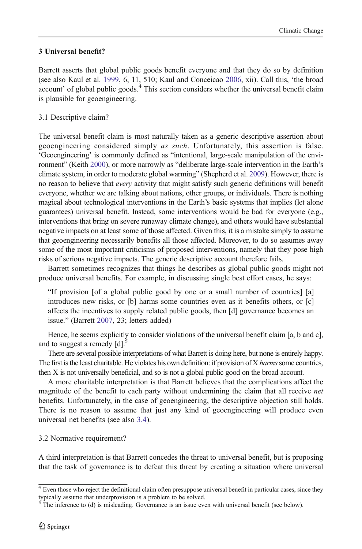# 3 Universal benefit?

Barrett asserts that global public goods benefit everyone and that they do so by definition (see also Kaul et al. [1999](#page-12-0), 6, 11, 510; Kaul and Conceicao [2006,](#page-12-0) xii). Call this, 'the broad account' of global public goods.<sup>4</sup> This section considers whether the universal benefit claim is plausible for geoengineering.

# 3.1 Descriptive claim?

The universal benefit claim is most naturally taken as a generic descriptive assertion about geoengineering considered simply as such. Unfortunately, this assertion is false. 'Geoengineering' is commonly defined as "intentional, large-scale manipulation of the environment" (Keith [2000](#page-12-0)), or more narrowly as "deliberate large-scale intervention in the Earth's climate system, in order to moderate global warming" (Shepherd et al. [2009\)](#page-12-0). However, there is no reason to believe that *every* activity that might satisfy such generic definitions will benefit everyone, whether we are talking about nations, other groups, or individuals. There is nothing magical about technological interventions in the Earth's basic systems that implies (let alone guarantees) universal benefit. Instead, some interventions would be bad for everyone (e.g., interventions that bring on severe runaway climate change), and others would have substantial negative impacts on at least some of those affected. Given this, it is a mistake simply to assume that geoengineering necessarily benefits all those affected. Moreover, to do so assumes away some of the most important criticisms of proposed interventions, namely that they pose high risks of serious negative impacts. The generic descriptive account therefore fails.

Barrett sometimes recognizes that things he describes as global public goods might not produce universal benefits. For example, in discussing single best effort cases, he says:

"If provision [of a global public good by one or a small number of countries] [a] introduces new risks, or [b] harms some countries even as it benefits others, or [c] affects the incentives to supply related public goods, then [d] governance becomes an issue." (Barrett [2007,](#page-12-0) 23; letters added)

Hence, he seems explicitly to consider violations of the universal benefit claim [a, b and c], and to suggest a remedy  $[d]$ .<sup>5</sup>

There are several possible interpretations of what Barrett is doing here, but none is entirely happy. The first is the least charitable. He violates his own definition: if provision of X harms some countries, then X is not universally beneficial, and so is not a global public good on the broad account.

A more charitable interpretation is that Barrett believes that the complications affect the magnitude of the benefit to each party without undermining the claim that all receive net benefits. Unfortunately, in the case of geoengineering, the descriptive objection still holds. There is no reason to assume that just any kind of geoengineering will produce even universal net benefits (see also [3.4](#page-6-0)).

### 3.2 Normative requirement?

A third interpretation is that Barrett concedes the threat to universal benefit, but is proposing that the task of governance is to defeat this threat by creating a situation where universal

<sup>&</sup>lt;sup>4</sup> Even those who reject the definitional claim often presuppose universal benefit in particular cases, since they typically assume that underprovision is a problem to be solved.

The inference to (d) is misleading. Governance is an issue even with universal benefit (see below).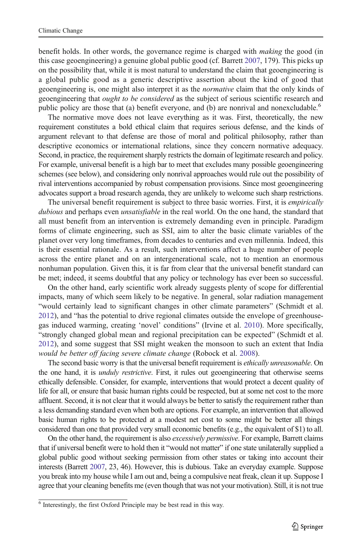benefit holds. In other words, the governance regime is charged with *making* the good (in this case geoengineering) a genuine global public good (cf. Barrett [2007](#page-12-0), 179). This picks up on the possibility that, while it is most natural to understand the claim that geoengineering is a global public good as a generic descriptive assertion about the kind of good that geoengineering is, one might also interpret it as the normative claim that the only kinds of geoengineering that *ought to be considered* as the subject of serious scientific research and public policy are those that (a) benefit everyone, and (b) are nonrival and nonexcludable. $\degree$ 

The normative move does not leave everything as it was. First, theoretically, the new requirement constitutes a bold ethical claim that requires serious defense, and the kinds of argument relevant to that defense are those of moral and political philosophy, rather than descriptive economics or international relations, since they concern normative adequacy. Second, in practice, the requirement sharply restricts the domain of legitimate research and policy. For example, universal benefit is a high bar to meet that excludes many possible geoengineering schemes (see below), and considering only nonrival approaches would rule out the possibility of rival interventions accompanied by robust compensation provisions. Since most geoengineering advocates support a broad research agenda, they are unlikely to welcome such sharp restrictions.

The universal benefit requirement is subject to three basic worries. First, it is *empirically* dubious and perhaps even *unsatisfiable* in the real world. On the one hand, the standard that all must benefit from an intervention is extremely demanding even in principle. Paradigm forms of climate engineering, such as SSI, aim to alter the basic climate variables of the planet over very long timeframes, from decades to centuries and even millennia. Indeed, this is their essential rationale. As a result, such interventions affect a huge number of people across the entire planet and on an intergenerational scale, not to mention an enormous nonhuman population. Given this, it is far from clear that the universal benefit standard can be met; indeed, it seems doubtful that any policy or technology has ever been so successful.

On the other hand, early scientific work already suggests plenty of scope for differential impacts, many of which seem likely to be negative. In general, solar radiation management "would certainly lead to significant changes in other climate parameters" (Schmidt et al. [2012\)](#page-12-0), and "has the potential to drive regional climates outside the envelope of greenhousegas induced warming, creating 'novel' conditions" (Irvine et al. [2010](#page-12-0)). More specifically, "strongly changed global mean and regional precipitation can be expected" (Schmidt et al. [2012\)](#page-12-0), and some suggest that SSI might weaken the monsoon to such an extent that India would be better off facing severe climate change (Robock et al. [2008](#page-12-0)).

The second basic worry is that the universal benefit requirement is *ethically unreasonable*. On the one hand, it is *unduly restrictive*. First, it rules out geoengineering that otherwise seems ethically defensible. Consider, for example, interventions that would protect a decent quality of life for all, or ensure that basic human rights could be respected, but at some net cost to the more affluent. Second, it is not clear that it would always be better to satisfy the requirement rather than a less demanding standard even when both are options. For example, an intervention that allowed basic human rights to be protected at a modest net cost to some might be better all things considered than one that provided very small economic benefits (e.g., the equivalent of \$1) to all.

On the other hand, the requirement is also *excessively permissive*. For example, Barrett claims that if universal benefit were to hold then it "would not matter" if one state unilaterally supplied a global public good without seeking permission from other states or taking into account their interests (Barrett [2007](#page-12-0), 23, 46). However, this is dubious. Take an everyday example. Suppose you break into my house while I am out and, being a compulsive neat freak, clean it up. Suppose I agree that your cleaning benefits me (even though that was not your motivation). Still, it is not true

<sup>6</sup> Interestingly, the first Oxford Principle may be best read in this way.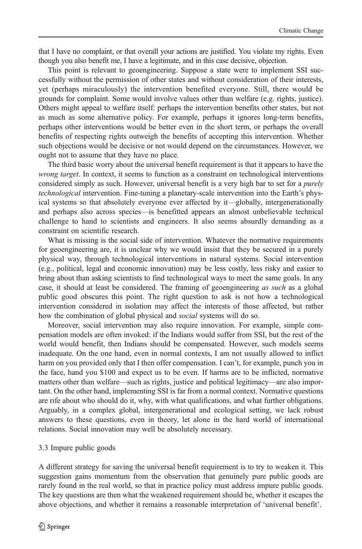that I have no complaint, or that overall your actions are justified. You violate my rights. Even though you also benefit me, I have a legitimate, and in this case decisive, objection.

This point is relevant to geoengineering. Suppose a state were to implement SSI successfully without the permission of other states and without consideration of their interests, yet (perhaps miraculously) the intervention benefited everyone. Still, there would be grounds for complaint. Some would involve values other than welfare (e.g. rights, justice). Others might appeal to welfare itself: perhaps the intervention benefits other states, but not as much as some alternative policy. For example, perhaps it ignores long-term benefits, perhaps other interventions would be better even in the short term, or perhaps the overall benefits of respecting rights outweigh the benefits of accepting this intervention. Whether such objections would be decisive or not would depend on the circumstances. However, we ought not to assume that they have no place.

The third basic worry about the universal benefit requirement is that it appears to have the wrong target. In context, it seems to function as a constraint on technological interventions considered simply as such. However, universal benefit is a very high bar to set for a *purely* technological intervention. Fine-tuning a planetary-scale intervention into the Earth's physical systems so that absolutely everyone ever affected by it—globally, intergenerationally and perhaps also across species—is benefitted appears an almost unbelievable technical challenge to hand to scientists and engineers. It also seems absurdly demanding as a constraint on scientific research.

What is missing is the social side of intervention. Whatever the normative requirements for geoengineering are, it is unclear why we would insist that they be secured in a purely physical way, through technological interventions in natural systems. Social intervention (e.g., political, legal and economic innovation) may be less costly, less risky and easier to bring about than asking scientists to find technological ways to meet the same goals. In any case, it should at least be considered. The framing of geoengineering as such as a global public good obscures this point. The right question to ask is not how a technological intervention considered in isolation may affect the interests of those affected, but rather how the combination of global physical and *social* systems will do so.

Moreover, social intervention may also require innovation. For example, simple compensation models are often invoked: if the Indians would suffer from SSI, but the rest of the world would benefit, then Indians should be compensated. However, such models seems inadequate. On the one hand, even in normal contexts, I am not usually allowed to inflict harm on you provided only that I then offer compensation. I can't, for example, punch you in the face, hand you \$100 and expect us to be even. If harms are to be inflicted, normative matters other than welfare—such as rights, justice and political legitimacy—are also important. On the other hand, implementing SSI is far from a normal context. Normative questions are rife about who should do it, why, with what qualifications, and what further obligations. Arguably, in a complex global, intergenerational and ecological setting, we lack robust answers to these questions, even in theory, let alone in the hard world of international relations. Social innovation may well be absolutely necessary.

#### 3.3 Impure public goods

A different strategy for saving the universal benefit requirement is to try to weaken it. This suggestion gains momentum from the observation that genuinely pure public goods are rarely found in the real world, so that in practice policy must address impure public goods. The key questions are then what the weakened requirement should be, whether it escapes the above objections, and whether it remains a reasonable interpretation of 'universal benefit'.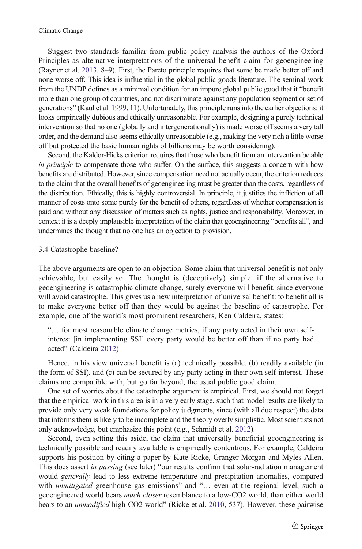<span id="page-6-0"></span>Suggest two standards familiar from public policy analysis the authors of the Oxford Principles as alternative interpretations of the universal benefit claim for geoengineering (Rayner et al. [2013.](#page-12-0) 8–9). First, the Pareto principle requires that some be made better off and none worse off. This idea is influential in the global public goods literature. The seminal work from the UNDP defines as a minimal condition for an impure global public good that it "benefit more than one group of countries, and not discriminate against any population segment or set of generations" (Kaul et al. [1999,](#page-12-0) 11). Unfortunately, this principle runs into the earlier objections: it looks empirically dubious and ethically unreasonable. For example, designing a purely technical intervention so that no one (globally and intergenerationally) is made worse off seems a very tall order, and the demand also seems ethically unreasonable (e.g., making the very rich a little worse off but protected the basic human rights of billions may be worth considering).

Second, the Kaldor-Hicks criterion requires that those who benefit from an intervention be able in principle to compensate those who suffer. On the surface, this suggests a concern with how benefits are distributed. However, since compensation need not actually occur, the criterion reduces to the claim that the overall benefits of geoengineering must be greater than the costs, regardless of the distribution. Ethically, this is highly controversial. In principle, it justifies the infliction of all manner of costs onto some purely for the benefit of others, regardless of whether compensation is paid and without any discussion of matters such as rights, justice and responsibility. Moreover, in context it is a deeply implausible interpretation of the claim that geoengineering "benefits all", and undermines the thought that no one has an objection to provision.

#### 3.4 Catastrophe baseline?

The above arguments are open to an objection. Some claim that universal benefit is not only achievable, but easily so. The thought is (deceptively) simple: if the alternative to geoengineering is catastrophic climate change, surely everyone will benefit, since everyone will avoid catastrophe. This gives us a new interpretation of universal benefit: to benefit all is to make everyone better off than they would be against the baseline of catastrophe. For example, one of the world's most prominent researchers, Ken Caldeira, states:

"… for most reasonable climate change metrics, if any party acted in their own selfinterest [in implementing SSI] every party would be better off than if no party had acted" (Caldeira [2012](#page-12-0))

Hence, in his view universal benefit is (a) technically possible, (b) readily available (in the form of SSI), and (c) can be secured by any party acting in their own self-interest. These claims are compatible with, but go far beyond, the usual public good claim.

One set of worries about the catastrophe argument is empirical. First, we should not forget that the empirical work in this area is in a very early stage, such that model results are likely to provide only very weak foundations for policy judgments, since (with all due respect) the data that informs them is likely to be incomplete and the theory overly simplistic. Most scientists not only acknowledge, but emphasize this point (e.g., Schmidt et al. [2012](#page-12-0)).

Second, even setting this aside, the claim that universally beneficial geoengineering is technically possible and readily available is empirically contentious. For example, Caldeira supports his position by citing a paper by Kate Ricke, Granger Morgan and Myles Allen. This does assert in passing (see later) "our results confirm that solar-radiation management would *generally* lead to less extreme temperature and precipitation anomalies, compared with *unmitigated* greenhouse gas emissions" and "... even at the regional level, such a geoengineered world bears *much closer* resemblance to a low-CO2 world, than either world bears to an *unmodified* high-CO2 world" (Ricke et al. [2010,](#page-12-0) 537). However, these pairwise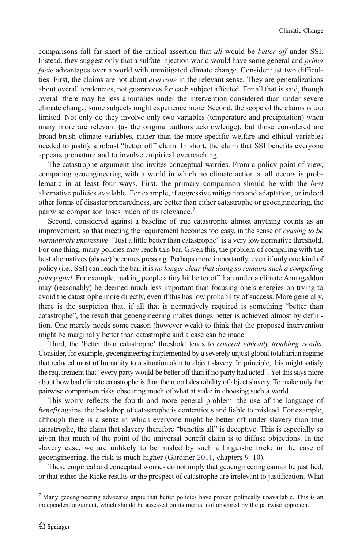comparisons fall far short of the critical assertion that *all* would be *better off* under SSI. Instead, they suggest only that a sulfate injection world would have some general and prima facie advantages over a world with unmitigated climate change. Consider just two difficulties. First, the claims are not about *everyone* in the relevant sense. They are generalizations about overall tendencies, not guarantees for each subject affected. For all that is said, though overall there may be less anomalies under the intervention considered than under severe climate change, some subjects might experience more. Second, the scope of the claims is too limited. Not only do they involve only two variables (temperature and precipitation) when many more are relevant (as the original authors acknowledge), but those considered are broad-brush climate variables, rather than the more specific welfare and ethical variables needed to justify a robust "better off" claim. In short, the claim that SSI benefits everyone appears premature and to involve empirical overreaching.

The catastrophe argument also invites conceptual worries. From a policy point of view, comparing geoengineering with a world in which no climate action at all occurs is problematic in at least four ways. First, the primary comparison should be with the best alternative policies available. For example, if aggressive mitigation and adaptation, or indeed other forms of disaster preparedness, are better than either catastrophe or geoengineering, the pairwise comparison loses much of its relevance.<sup>7</sup>

Second, considered against a baseline of true catastrophe almost anything counts as an improvement, so that meeting the requirement becomes too easy, in the sense of ceasing to be normatively impressive. "Just a little better than catastrophe" is a very low normative threshold. For one thing, many policies may reach this bar. Given this, the problem of comparing with the best alternatives (above) becomes pressing. Perhaps more importantly, even if only one kind of policy (i.e., SSI) can reach the bar, it is no longer clear that doing so remains such a compelling policy goal. For example, making people a tiny bit better off than under a climate Armageddon may (reasonably) be deemed much less important than focusing one's energies on trying to avoid the catastrophe more directly, even if this has low probability of success. More generally, there is the suspicion that, if all that is normatively required is something "better than catastrophe", the result that geoengineering makes things better is achieved almost by definition. One merely needs some reason (however weak) to think that the proposed intervention might be marginally better than catastrophe and a case can be made.

Third, the 'better than catastrophe' threshold tends to *conceal ethically troubling results*. Consider, for example, geoengineering implemented by a severely unjust global totalitarian regime that reduced most of humanity to a situation akin to abject slavery. In principle, this might satisfy the requirement that "every party would be better off than if no party had acted". Yet this says more about how bad climate catastrophe is than the moral desirability of abject slavery. To make only the pairwise comparison risks obscuring much of what at stake in choosing such a world.

This worry reflects the fourth and more general problem: the use of the language of benefit against the backdrop of catastrophe is contentious and liable to mislead. For example, although there is a sense in which everyone might be better off under slavery than true catastrophe, the claim that slavery therefore "benefits all" is deceptive. This is especially so given that much of the point of the universal benefit claim is to diffuse objections. In the slavery case, we are unlikely to be misled by such a linguistic trick; in the case of geoengineering, the risk is much higher (Gardiner [2011](#page-12-0), chapters 9–10).

These empirical and conceptual worries do not imply that geoengineering cannot be justified, or that either the Ricke results or the prospect of catastrophe are irrelevant to justification. What

 $<sup>7</sup>$  Many geoengineering advocates argue that better policies have proven politically unavailable. This is an</sup> independent argument, which should be assessed on its merits, not obscured by the pairwise approach.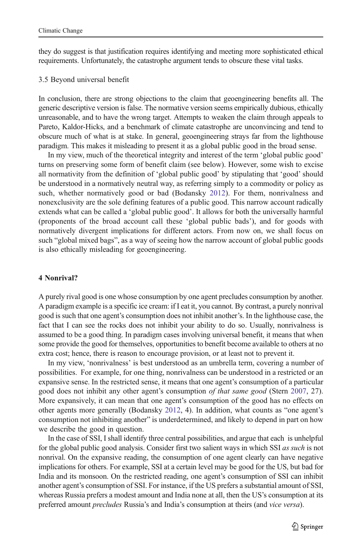they do suggest is that justification requires identifying and meeting more sophisticated ethical requirements. Unfortunately, the catastrophe argument tends to obscure these vital tasks.

#### 3.5 Beyond universal benefit

In conclusion, there are strong objections to the claim that geoengineering benefits all. The generic descriptive version is false. The normative version seems empirically dubious, ethically unreasonable, and to have the wrong target. Attempts to weaken the claim through appeals to Pareto, Kaldor-Hicks, and a benchmark of climate catastrophe are unconvincing and tend to obscure much of what is at stake. In general, geoengineering strays far from the lighthouse paradigm. This makes it misleading to present it as a global public good in the broad sense.

In my view, much of the theoretical integrity and interest of the term 'global public good' turns on preserving some form of benefit claim (see below). However, some wish to excise all normativity from the definition of 'global public good' by stipulating that 'good' should be understood in a normatively neutral way, as referring simply to a commodity or policy as such, whether normatively good or bad (Bodansky [2012\)](#page-12-0). For them, nonrivalness and nonexclusivity are the sole defining features of a public good. This narrow account radically extends what can be called a 'global public good'. It allows for both the universally harmful (proponents of the broad account call these 'global public bads'), and for goods with normatively divergent implications for different actors. From now on, we shall focus on such "global mixed bags", as a way of seeing how the narrow account of global public goods is also ethically misleading for geoengineering.

### 4 Nonrival?

A purely rival good is one whose consumption by one agent precludes consumption by another. A paradigm example is a specific ice cream: if I eat it, you cannot. By contrast, a purely nonrival good is such that one agent's consumption does not inhibit another's. In the lighthouse case, the fact that I can see the rocks does not inhibit your ability to do so. Usually, nonrivalness is assumed to be a good thing. In paradigm cases involving universal benefit, it means that when some provide the good for themselves, opportunities to benefit become available to others at no extra cost; hence, there is reason to encourage provision, or at least not to prevent it.

In my view, 'nonrivalness' is best understood as an umbrella term, covering a number of possibilities. For example, for one thing, nonrivalness can be understood in a restricted or an expansive sense. In the restricted sense, it means that one agent's consumption of a particular good does not inhibit any other agent's consumption of that same good (Stern [2007](#page-12-0), 27). More expansively, it can mean that one agent's consumption of the good has no effects on other agents more generally (Bodansky [2012](#page-12-0), 4). In addition, what counts as "one agent's consumption not inhibiting another" is underdetermined, and likely to depend in part on how we describe the good in question.

In the case of SSI, I shall identify three central possibilities, and argue that each is unhelpful for the global public good analysis. Consider first two salient ways in which SSI as such is not nonrival. On the expansive reading, the consumption of one agent clearly can have negative implications for others. For example, SSI at a certain level may be good for the US, but bad for India and its monsoon. On the restricted reading, one agent's consumption of SSI can inhibit another agent's consumption of SSI. For instance, if the US prefers a substantial amount of SSI, whereas Russia prefers a modest amount and India none at all, then the US's consumption at its preferred amount precludes Russia's and India's consumption at theirs (and vice versa).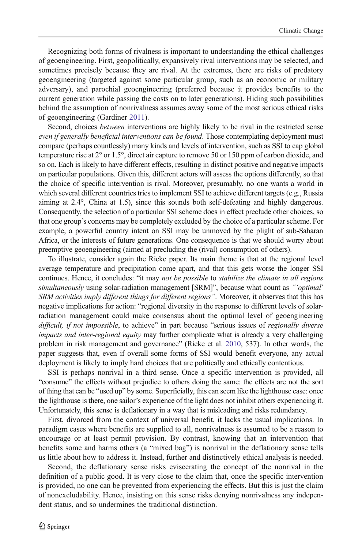Recognizing both forms of rivalness is important to understanding the ethical challenges of geoengineering. First, geopolitically, expansively rival interventions may be selected, and sometimes precisely because they are rival. At the extremes, there are risks of predatory geoengineering (targeted against some particular group, such as an economic or military adversary), and parochial geoengineering (preferred because it provides benefits to the current generation while passing the costs on to later generations). Hiding such possibilities behind the assumption of nonrivalness assumes away some of the most serious ethical risks of geoengineering (Gardiner [2011\)](#page-12-0).

Second, choices *between* interventions are highly likely to be rival in the restricted sense even if generally beneficial interventions can be found. Those contemplating deployment must compare (perhaps countlessly) many kinds and levels of intervention, such as SSI to cap global temperature rise at 2° or 1.5°, direct air capture to remove 50 or 150 ppm of carbon dioxide, and so on. Each is likely to have different effects, resulting in distinct positive and negative impacts on particular populations. Given this, different actors will assess the options differently, so that the choice of specific intervention is rival. Moreover, presumably, no one wants a world in which several different countries tries to implement SSI to achieve different targets (e.g., Russia aiming at 2.4°, China at 1.5), since this sounds both self-defeating and highly dangerous. Consequently, the selection of a particular SSI scheme does in effect preclude other choices, so that one group's concerns may be completely excluded by the choice of a particular scheme. For example, a powerful country intent on SSI may be unmoved by the plight of sub-Saharan Africa, or the interests of future generations. One consequence is that we should worry about preemptive geoengineering (aimed at precluding the (rival) consumption of others).

To illustrate, consider again the Ricke paper. Its main theme is that at the regional level average temperature and precipitation come apart, and that this gets worse the longer SSI continues. Hence, it concludes: "it may not be possible to stabilize the climate in all regions simultaneously using solar-radiation management [SRM]", because what count as "'optimal' SRM activities imply different things for different regions". Moreover, it observes that this has negative implications for action: "regional diversity in the response to different levels of solarradiation management could make consensus about the optimal level of geoengineering difficult, if not impossible, to achieve" in part because "serious issues of regionally diverse impacts and inter-regional equity may further complicate what is already a very challenging problem in risk management and governance" (Ricke et al. [2010](#page-12-0), 537). In other words, the paper suggests that, even if overall some forms of SSI would benefit everyone, any actual deployment is likely to imply hard choices that are politically and ethically contentious.

SSI is perhaps nonrival in a third sense. Once a specific intervention is provided, all "consume" the effects without prejudice to others doing the same: the effects are not the sort of thing that can be "used up" by some. Superficially, this can seem like the lighthouse case: once the lighthouse is there, one sailor's experience of the light does not inhibit others experiencing it. Unfortunately, this sense is deflationary in a way that is misleading and risks redundancy.

First, divorced from the context of universal benefit, it lacks the usual implications. In paradigm cases where benefits are supplied to all, nonrivalness is assumed to be a reason to encourage or at least permit provision. By contrast, knowing that an intervention that benefits some and harms others (a "mixed bag") is nonrival in the deflationary sense tells us little about how to address it. Instead, further and distinctively ethical analysis is needed.

Second, the deflationary sense risks eviscerating the concept of the nonrival in the definition of a public good. It is very close to the claim that, once the specific intervention is provided, no one can be prevented from experiencing the effects. But this is just the claim of nonexcludability. Hence, insisting on this sense risks denying nonrivalness any independent status, and so undermines the traditional distinction.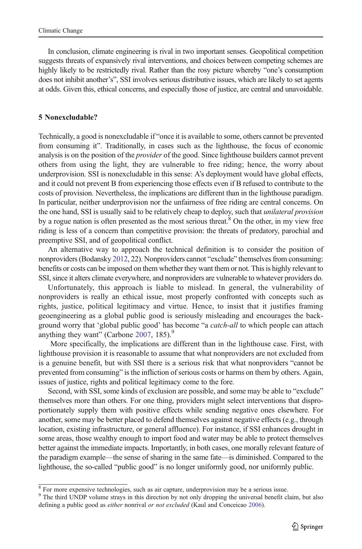In conclusion, climate engineering is rival in two important senses. Geopolitical competition suggests threats of expansively rival interventions, and choices between competing schemes are highly likely to be restrictedly rival. Rather than the rosy picture whereby "one's consumption does not inhibit another's", SSI involves serious distributive issues, which are likely to set agents at odds. Given this, ethical concerns, and especially those of justice, are central and unavoidable.

### 5 Nonexcludable?

Technically, a good is nonexcludable if "once it is available to some, others cannot be prevented from consuming it". Traditionally, in cases such as the lighthouse, the focus of economic analysis is on the position of the *provider* of the good. Since lighthouse builders cannot prevent others from using the light, they are vulnerable to free riding; hence, the worry about underprovision. SSI is nonexcludable in this sense: A's deployment would have global effects, and it could not prevent B from experiencing those effects even if B refused to contribute to the costs of provision. Nevertheless, the implications are different than in the lighthouse paradigm. In particular, neither underprovision nor the unfairness of free riding are central concerns. On the one hand, SSI is usually said to be relatively cheap to deploy, such that *unilateral provision* by a rogue nation is often presented as the most serious threat.<sup>8</sup> On the other, in my view free riding is less of a concern than competitive provision: the threats of predatory, parochial and preemptive SSI, and of geopolitical conflict.

An alternative way to approach the technical definition is to consider the position of nonproviders (Bodansky [2012](#page-12-0), 22). Nonproviders cannot "exclude" themselves from consuming: benefits or costs can be imposed on them whether they want them or not. This is highly relevant to SSI, since it alters climate everywhere, and nonproviders are vulnerable to whatever providers do.

Unfortunately, this approach is liable to mislead. In general, the vulnerability of nonproviders is really an ethical issue, most properly confronted with concepts such as rights, justice, political legitimacy and virtue. Hence, to insist that it justifies framing geoengineering as a global public good is seriously misleading and encourages the background worry that 'global public good' has become "a *catch-all* to which people can attach anything they want" (Carbone [2007](#page-12-0), 185).<sup>9</sup>

More specifically, the implications are different than in the lighthouse case. First, with lighthouse provision it is reasonable to assume that what nonproviders are not excluded from is a genuine benefit, but with SSI there is a serious risk that what nonproviders "cannot be prevented from consuming" is the infliction of serious costs or harms on them by others. Again, issues of justice, rights and political legitimacy come to the fore.

Second, with SSI, some kinds of exclusion are possible, and some may be able to "exclude" themselves more than others. For one thing, providers might select interventions that disproportionately supply them with positive effects while sending negative ones elsewhere. For another, some may be better placed to defend themselves against negative effects (e.g., through location, existing infrastructure, or general affluence). For instance, if SSI enhances drought in some areas, those wealthy enough to import food and water may be able to protect themselves better against the immediate impacts. Importantly, in both cases, one morally relevant feature of the paradigm example—the sense of sharing in the same fate—is diminished. Compared to the lighthouse, the so-called "public good" is no longer uniformly good, nor uniformly public.

<sup>&</sup>lt;sup>8</sup> For more expensive technologies, such as air capture, underprovision may be a serious issue.

<sup>&</sup>lt;sup>9</sup> The third UNDP volume strays in this direction by not only dropping the universal benefit claim, but also defining a public good as either nonrival or not excluded (Kaul and Conceicao [2006\)](#page-12-0).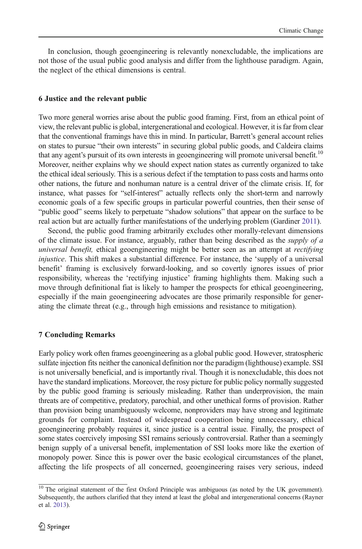In conclusion, though geoengineering is relevantly nonexcludable, the implications are not those of the usual public good analysis and differ from the lighthouse paradigm. Again, the neglect of the ethical dimensions is central.

# 6 Justice and the relevant public

Two more general worries arise about the public good framing. First, from an ethical point of view, the relevant public is global, intergenerational and ecological. However, it is far from clear that the conventional framings have this in mind. In particular, Barrett's general account relies on states to pursue "their own interests" in securing global public goods, and Caldeira claims that any agent's pursuit of its own interests in geoengineering will promote universal benefit.<sup>10</sup> Moreover, neither explains why we should expect nation states as currently organized to take the ethical ideal seriously. This is a serious defect if the temptation to pass costs and harms onto other nations, the future and nonhuman nature is a central driver of the climate crisis. If, for instance, what passes for "self-interest" actually reflects only the short-term and narrowly economic goals of a few specific groups in particular powerful countries, then their sense of "public good" seems likely to perpetuate "shadow solutions" that appear on the surface to be real action but are actually further manifestations of the underlying problem (Gardiner [2011](#page-12-0)).

Second, the public good framing arbitrarily excludes other morally-relevant dimensions of the climate issue. For instance, arguably, rather than being described as the *supply of a* universal benefit, ethical geoengineering might be better seen as an attempt at rectifying injustice. This shift makes a substantial difference. For instance, the 'supply of a universal benefit' framing is exclusively forward-looking, and so covertly ignores issues of prior responsibility, whereas the 'rectifying injustice' framing highlights them. Making such a move through definitional fiat is likely to hamper the prospects for ethical geoengineering, especially if the main geoengineering advocates are those primarily responsible for generating the climate threat (e.g., through high emissions and resistance to mitigation).

# 7 Concluding Remarks

Early policy work often frames geoengineering as a global public good. However, stratospheric sulfate injection fits neither the canonical definition nor the paradigm (lighthouse) example. SSI is not universally beneficial, and is importantly rival. Though it is nonexcludable, this does not have the standard implications. Moreover, the rosy picture for public policy normally suggested by the public good framing is seriously misleading. Rather than underprovision, the main threats are of competitive, predatory, parochial, and other unethical forms of provision. Rather than provision being unambiguously welcome, nonproviders may have strong and legitimate grounds for complaint. Instead of widespread cooperation being unnecessary, ethical geoengineering probably requires it, since justice is a central issue. Finally, the prospect of some states coercively imposing SSI remains seriously controversial. Rather than a seemingly benign supply of a universal benefit, implementation of SSI looks more like the exertion of monopoly power. Since this is power over the basic ecological circumstances of the planet, affecting the life prospects of all concerned, geoengineering raises very serious, indeed

<sup>&</sup>lt;sup>10</sup> The original statement of the first Oxford Principle was ambiguous (as noted by the UK government). Subsequently, the authors clarified that they intend at least the global and intergenerational concerns (Rayner et al. [2013\)](#page-12-0).